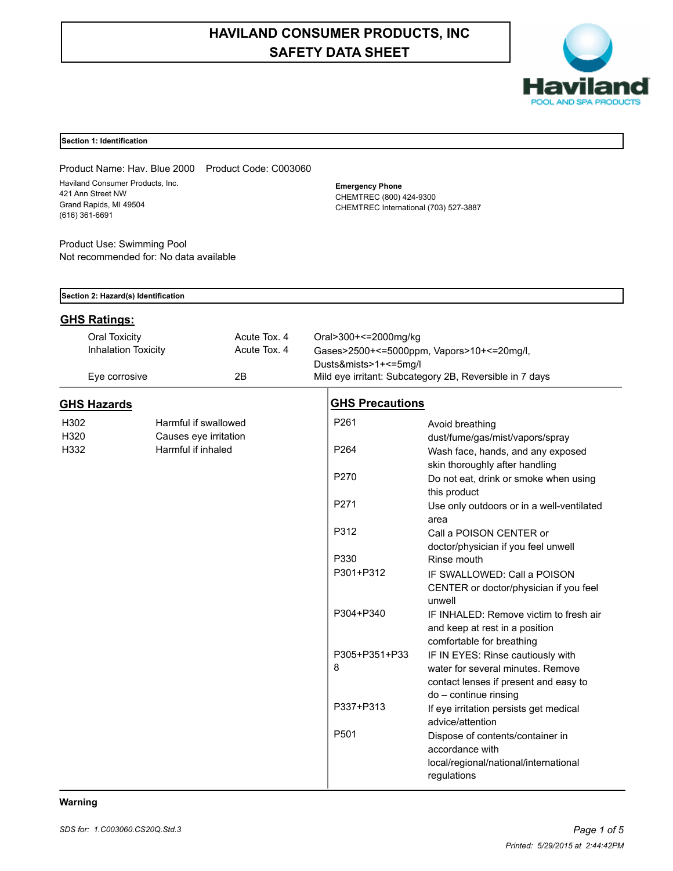# **HAVILAND CONSUMER PRODUCTS, INC SAFETY DATA SHEET**



### **Section 1: Identification**

Product Name: Hav. Blue 2000 Product Code: C003060 Haviland Consumer Products, Inc. 421 Ann Street NW Grand Rapids, MI 49504 (616) 361-6691

Product Use: Swimming Pool Not recommended for: No data available **Emergency Phone** CHEMTREC (800) 424-9300 CHEMTREC International (703) 527-3887

|                     | Section 2: Hazard(s) Identification |              |                        |                                                             |  |  |
|---------------------|-------------------------------------|--------------|------------------------|-------------------------------------------------------------|--|--|
| <b>GHS Ratings:</b> |                                     |              |                        |                                                             |  |  |
| Oral Toxicity       |                                     | Acute Tox. 4 | Oral>300+<=2000mg/kg   |                                                             |  |  |
|                     | <b>Inhalation Toxicity</b>          | Acute Tox. 4 |                        | Gases>2500+<=5000ppm, Vapors>10+<=20mg/l,                   |  |  |
|                     |                                     |              | Dusts&mists>1+<=5mg/l  |                                                             |  |  |
| Eye corrosive       |                                     | 2B           |                        | Mild eye irritant: Subcategory 2B, Reversible in 7 days     |  |  |
| <b>GHS Hazards</b>  |                                     |              | <b>GHS Precautions</b> |                                                             |  |  |
| H302                | Harmful if swallowed                |              | P261                   | Avoid breathing                                             |  |  |
| H320                | Causes eye irritation               |              |                        | dust/fume/gas/mist/vapors/spray                             |  |  |
| H332                | Harmful if inhaled                  |              | P <sub>264</sub>       | Wash face, hands, and any exposed                           |  |  |
|                     |                                     |              |                        | skin thoroughly after handling                              |  |  |
|                     |                                     |              | P270                   | Do not eat, drink or smoke when using                       |  |  |
|                     |                                     |              |                        | this product                                                |  |  |
|                     |                                     |              | P271                   | Use only outdoors or in a well-ventilated                   |  |  |
|                     |                                     |              |                        | area                                                        |  |  |
|                     |                                     |              | P312                   | Call a POISON CENTER or                                     |  |  |
|                     |                                     |              |                        | doctor/physician if you feel unwell                         |  |  |
|                     |                                     |              | P330                   | Rinse mouth                                                 |  |  |
|                     |                                     |              | P301+P312              | IF SWALLOWED: Call a POISON                                 |  |  |
|                     |                                     |              |                        | CENTER or doctor/physician if you feel                      |  |  |
|                     |                                     |              | P304+P340              | unwell                                                      |  |  |
|                     |                                     |              |                        | IF INHALED: Remove victim to fresh air                      |  |  |
|                     |                                     |              |                        | and keep at rest in a position<br>comfortable for breathing |  |  |
|                     |                                     |              | P305+P351+P33          | IF IN EYES: Rinse cautiously with                           |  |  |
|                     |                                     |              | 8                      | water for several minutes. Remove                           |  |  |
|                     |                                     |              |                        | contact lenses if present and easy to                       |  |  |
|                     |                                     |              |                        | do - continue rinsing                                       |  |  |
|                     |                                     |              | P337+P313              | If eye irritation persists get medical                      |  |  |
|                     |                                     |              |                        | advice/attention                                            |  |  |
|                     |                                     |              | P501                   | Dispose of contents/container in                            |  |  |
|                     |                                     |              |                        | accordance with                                             |  |  |
|                     |                                     |              |                        | local/regional/national/international                       |  |  |
|                     |                                     |              |                        | regulations                                                 |  |  |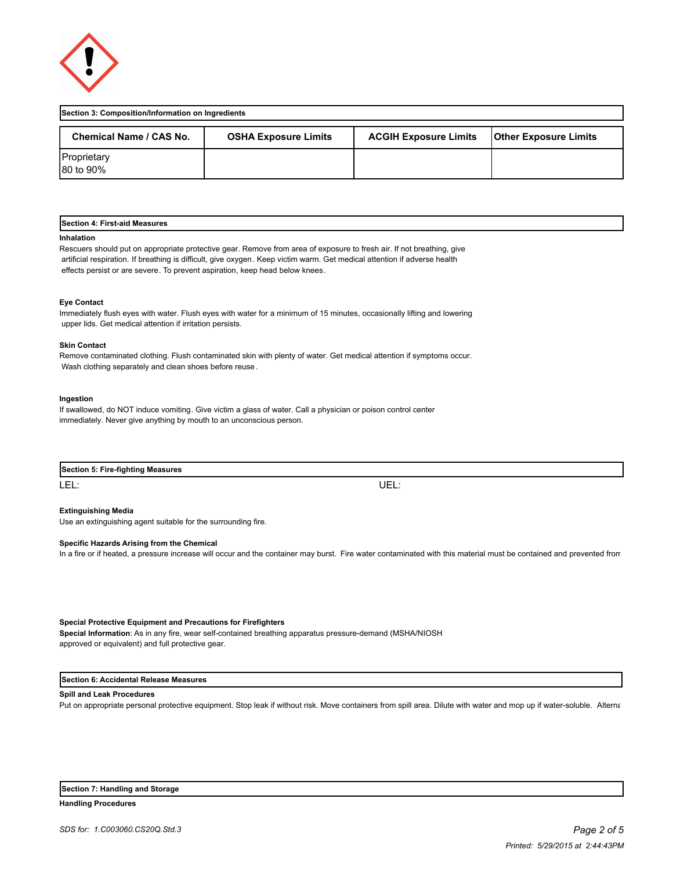

| Section 3: Composition/Information on Ingredients |                             |                              |                              |  |
|---------------------------------------------------|-----------------------------|------------------------------|------------------------------|--|
| Chemical Name / CAS No.                           | <b>OSHA Exposure Limits</b> | <b>ACGIH Exposure Limits</b> | <b>Other Exposure Limits</b> |  |
| Proprietary<br>80 to 90%                          |                             |                              |                              |  |

### **Section 4: First-aid Measures**

#### **Inhalation**

Rescuers should put on appropriate protective gear. Remove from area of exposure to fresh air. If not breathing, give artificial respiration. If breathing is difficult, give oxygen. Keep victim warm. Get medical attention if adverse health effects persist or are severe. To prevent aspiration, keep head below knees.

#### **Eye Contact**

Immediately flush eyes with water. Flush eyes with water for a minimum of 15 minutes, occasionally lifting and lowering upper lids. Get medical attention if irritation persists.

#### **Skin Contact**

Remove contaminated clothing. Flush contaminated skin with plenty of water. Get medical attention if symptoms occur. Wash clothing separately and clean shoes before reuse .

#### **Ingestion**

If swallowed, do NOT induce vomiting. Give victim a glass of water. Call a physician or poison control center immediately. Never give anything by mouth to an unconscious person.

| Section<br><b>Example 3-fighting Measures</b><br>. Firo<br> |     |
|-------------------------------------------------------------|-----|
| LEL:                                                        | UEL |

# **Extinguishing Media**

Use an extinguishing agent suitable for the surrounding fire.

#### **Specific Hazards Arising from the Chemical**

In a fire or if heated, a pressure increase will occur and the container may burst. Fire water contaminated with this material must be contained and prevented from

#### **Special Protective Equipment and Precautions for Firefighters**

**Special Information**: As in any fire, wear self-contained breathing apparatus pressure-demand (MSHA/NIOSH approved or equivalent) and full protective gear.

### **Section 6: Accidental Release Measures**

#### **Spill and Leak Procedures**

Put on appropriate personal protective equipment. Stop leak if without risk. Move containers from spill area. Dilute with water and mop up if water-soluble. Alterna

#### **Section 7: Handling and Storage**

**Handling Procedures**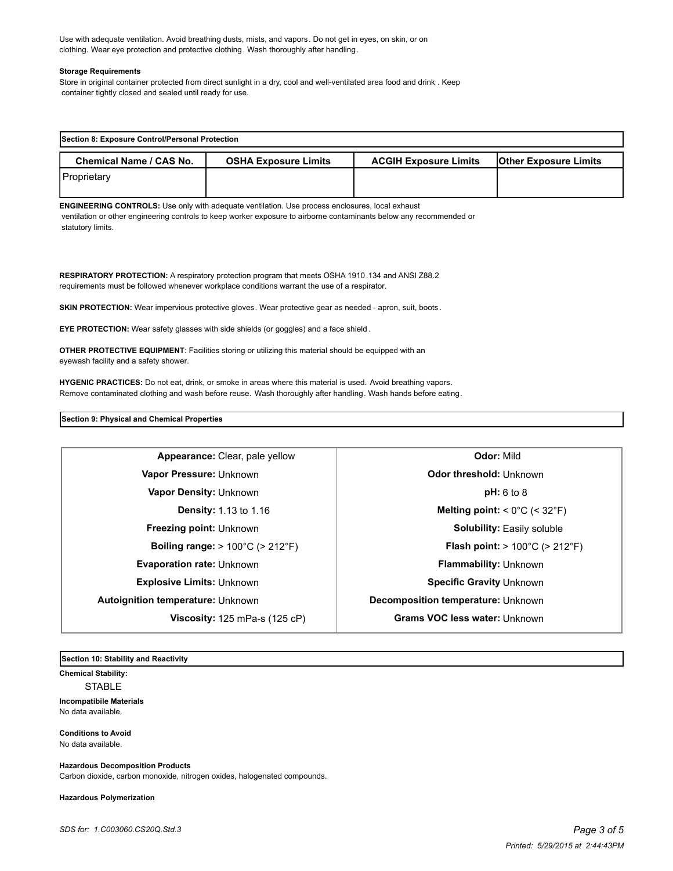Use with adequate ventilation. Avoid breathing dusts, mists, and vapors. Do not get in eyes, on skin, or on clothing. Wear eye protection and protective clothing. Wash thoroughly after handling.

#### **Storage Requirements**

Store in original container protected from direct sunlight in a dry, cool and well-ventilated area food and drink . Keep container tightly closed and sealed until ready for use.

| Section 8: Exposure Control/Personal Protection |                             |                              |                              |  |
|-------------------------------------------------|-----------------------------|------------------------------|------------------------------|--|
| Chemical Name / CAS No.                         | <b>OSHA Exposure Limits</b> | <b>ACGIH Exposure Limits</b> | <b>Other Exposure Limits</b> |  |
| Proprietary                                     |                             |                              |                              |  |

**ENGINEERING CONTROLS:** Use only with adequate ventilation. Use process enclosures, local exhaust ventilation or other engineering controls to keep worker exposure to airborne contaminants below any recommended or statutory limits.

**RESPIRATORY PROTECTION:** A respiratory protection program that meets OSHA 1910.134 and ANSI Z88.2 requirements must be followed whenever workplace conditions warrant the use of a respirator.

**SKIN PROTECTION:** Wear impervious protective gloves. Wear protective gear as needed - apron, suit, boots.

**EYE PROTECTION:** Wear safety glasses with side shields (or goggles) and a face shield .

**OTHER PROTECTIVE EQUIPMENT**: Facilities storing or utilizing this material should be equipped with an eyewash facility and a safety shower.

**HYGENIC PRACTICES:** Do not eat, drink, or smoke in areas where this material is used. Avoid breathing vapors. Remove contaminated clothing and wash before reuse. Wash thoroughly after handling. Wash hands before eating.

**Section 9: Physical and Chemical Properties**

**Appearance:** Clear, pale yellow **Quarter Clears Odor:** Mild **Vapor Pressure:** Unknown **Odor threshold:** Unknown **Vapor Density:** Unknown **pH:** 6 to 8 **Evaporation rate:** Unknown **Flammability:** Unknown **Explosive Limits:** Unknown **Specific Gravity** Unknown **Autoignition temperature:** Unknown **Decomposition temperature: Unknown** 

**Density:** 1.13 to 1.16 **Melting point:** < 0°C (< 32°F) **Freezing point:** Unknown **Solubility:** Easily soluble **Boiling range:** > 100°C (> 212°F) **Flash point:** > 100°C (> 212°F) **Viscosity:** 125 mPa-s (125 cP) **Grams VOC less water:** Unknown

**Section 10: Stability and Reactivity** 

**Chemical Stability:** STABLE **Incompatibile Materials**  No data available.

**Conditions to Avoid** No data available.

**Hazardous Decomposition Products**

Carbon dioxide, carbon monoxide, nitrogen oxides, halogenated compounds.

**Hazardous Polymerization**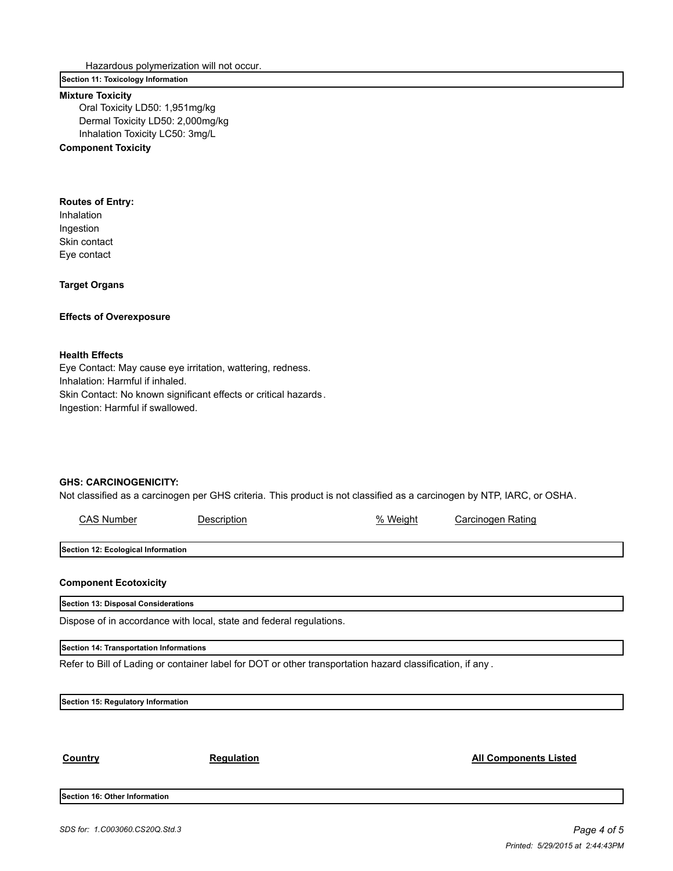Hazardous polymerization will not occur.

# **Section 11: Toxicology Information**

### **Mixture Toxicity**

Oral Toxicity LD50: 1,951mg/kg Dermal Toxicity LD50: 2,000mg/kg Inhalation Toxicity LC50: 3mg/L

# **Component Toxicity**

## **Routes of Entry:**

Inhalation Ingestion Skin contact Eye contact

**Target Organs**

# **Effects of Overexposure**

## **Health Effects**

Eye Contact: May cause eye irritation, wattering, redness. Inhalation: Harmful if inhaled. Skin Contact: No known significant effects or critical hazards. Ingestion: Harmful if swallowed.

### **GHS: CARCINOGENICITY:**

Not classified as a carcinogen per GHS criteria. This product is not classified as a carcinogen by NTP, IARC, or OSHA.

| <b>CAS Number</b>                       | Description                                                                                               | % Weight | Carcinogen Rating            |  |
|-----------------------------------------|-----------------------------------------------------------------------------------------------------------|----------|------------------------------|--|
|                                         |                                                                                                           |          |                              |  |
| Section 12: Ecological Information      |                                                                                                           |          |                              |  |
|                                         |                                                                                                           |          |                              |  |
| <b>Component Ecotoxicity</b>            |                                                                                                           |          |                              |  |
| Section 13: Disposal Considerations     |                                                                                                           |          |                              |  |
|                                         | Dispose of in accordance with local, state and federal regulations.                                       |          |                              |  |
| Section 14: Transportation Informations |                                                                                                           |          |                              |  |
|                                         | Refer to Bill of Lading or container label for DOT or other transportation hazard classification, if any. |          |                              |  |
|                                         |                                                                                                           |          |                              |  |
| Section 15: Regulatory Information      |                                                                                                           |          |                              |  |
|                                         |                                                                                                           |          |                              |  |
|                                         |                                                                                                           |          |                              |  |
| Country                                 | <b>Regulation</b>                                                                                         |          | <b>All Components Listed</b> |  |
|                                         |                                                                                                           |          |                              |  |
| Section 16: Other Information           |                                                                                                           |          |                              |  |